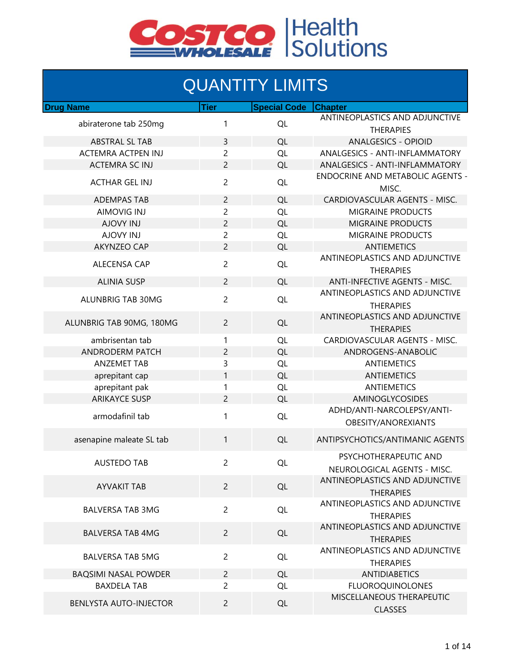

#### **QUANTITY LIMITS**

| <b>Drug Name</b>            | <b>Tier</b>    | <b>Special Code</b> | <b>Chapter</b>                                       |
|-----------------------------|----------------|---------------------|------------------------------------------------------|
| abiraterone tab 250mg       | 1              | QL                  | ANTINEOPLASTICS AND ADJUNCTIVE<br><b>THERAPIES</b>   |
| <b>ABSTRAL SL TAB</b>       | 3              | QL                  | <b>ANALGESICS - OPIOID</b>                           |
| <b>ACTEMRA ACTPEN INJ</b>   | 2              | QL                  | ANALGESICS - ANTI-INFLAMMATORY                       |
| <b>ACTEMRA SC INJ</b>       | $\overline{2}$ | QL                  | ANALGESICS - ANTI-INFLAMMATORY                       |
| <b>ACTHAR GEL INJ</b>       | $\overline{c}$ | QL                  | <b>ENDOCRINE AND METABOLIC AGENTS -</b><br>MISC.     |
| <b>ADEMPAS TAB</b>          | $\overline{2}$ | QL                  | CARDIOVASCULAR AGENTS - MISC.                        |
| <b>AIMOVIG INJ</b>          | $\overline{c}$ | QL                  | <b>MIGRAINE PRODUCTS</b>                             |
| <b>AJOVY INJ</b>            | $\overline{c}$ | QL                  | <b>MIGRAINE PRODUCTS</b>                             |
| <b>AJOVY INJ</b>            | $\overline{c}$ | QL                  | <b>MIGRAINE PRODUCTS</b>                             |
| <b>AKYNZEO CAP</b>          | $\overline{2}$ | QL                  | <b>ANTIEMETICS</b>                                   |
|                             |                |                     | ANTINEOPLASTICS AND ADJUNCTIVE                       |
| ALECENSA CAP                | $\overline{c}$ | QL                  | <b>THERAPIES</b>                                     |
| <b>ALINIA SUSP</b>          | $\overline{2}$ | QL                  | ANTI-INFECTIVE AGENTS - MISC.                        |
| <b>ALUNBRIG TAB 30MG</b>    | $\overline{2}$ | QL                  | ANTINEOPLASTICS AND ADJUNCTIVE<br><b>THERAPIES</b>   |
| ALUNBRIG TAB 90MG, 180MG    | $\overline{2}$ | QL                  | ANTINEOPLASTICS AND ADJUNCTIVE<br><b>THERAPIES</b>   |
| ambrisentan tab             | 1              | QL                  | CARDIOVASCULAR AGENTS - MISC.                        |
| <b>ANDRODERM PATCH</b>      | 2              | QL                  | ANDROGENS-ANABOLIC                                   |
| <b>ANZEMET TAB</b>          | 3              | QL                  | <b>ANTIEMETICS</b>                                   |
| aprepitant cap              | 1              | QL                  | <b>ANTIEMETICS</b>                                   |
| aprepitant pak              | 1              | QL                  | <b>ANTIEMETICS</b>                                   |
| <b>ARIKAYCE SUSP</b>        | $\overline{2}$ | QL                  | AMINOGLYCOSIDES                                      |
|                             |                |                     | ADHD/ANTI-NARCOLEPSY/ANTI-                           |
| armodafinil tab             | 1              | QL                  | OBESITY/ANOREXIANTS                                  |
| asenapine maleate SL tab    | 1              | QL                  | ANTIPSYCHOTICS/ANTIMANIC AGENTS                      |
| <b>AUSTEDO TAB</b>          | $\overline{c}$ | QL                  | PSYCHOTHERAPEUTIC AND<br>NEUROLOGICAL AGENTS - MISC. |
|                             |                |                     | ANTINEOPLASTICS AND ADJUNCTIVE                       |
| <b>AYVAKIT TAB</b>          | $\overline{2}$ | QL                  | <b>THERAPIES</b>                                     |
| <b>BALVERSA TAB 3MG</b>     | $\overline{2}$ | <b>QL</b>           | ANTINEOPLASTICS AND ADJUNCTIVE<br><b>THERAPIES</b>   |
| <b>BALVERSA TAB 4MG</b>     | $\overline{2}$ | QL                  | ANTINEOPLASTICS AND ADJUNCTIVE<br><b>THERAPIES</b>   |
| <b>BALVERSA TAB 5MG</b>     | $\overline{2}$ | <b>QL</b>           | ANTINEOPLASTICS AND ADJUNCTIVE<br><b>THERAPIES</b>   |
| <b>BAQSIMI NASAL POWDER</b> | $\overline{2}$ | QL                  | <b>ANTIDIABETICS</b>                                 |
| <b>BAXDELA TAB</b>          | $\overline{2}$ | <b>QL</b>           | <b>FLUOROQUINOLONES</b>                              |
|                             |                |                     | MISCELLANEOUS THERAPEUTIC                            |
| BENLYSTA AUTO-INJECTOR      | $\overline{2}$ | QL                  | <b>CLASSES</b>                                       |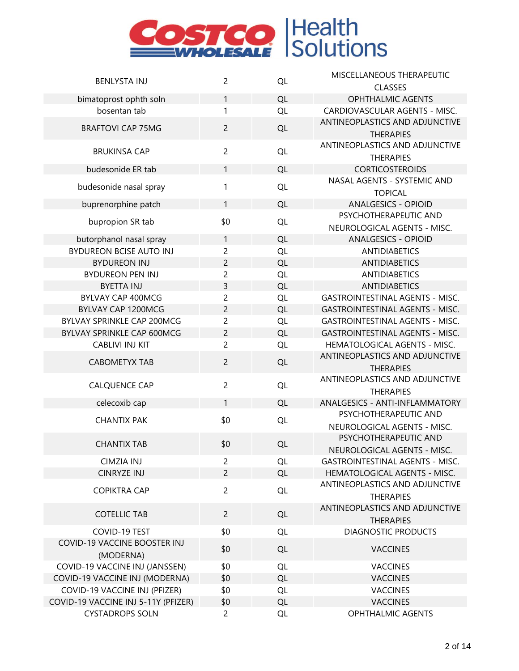

|                                     | $\overline{2}$ |           | MISCELLANEOUS THERAPEUTIC                          |
|-------------------------------------|----------------|-----------|----------------------------------------------------|
| <b>BENLYSTA INJ</b>                 |                | QL        | <b>CLASSES</b>                                     |
| bimatoprost ophth soln              | 1              | QL        | <b>OPHTHALMIC AGENTS</b>                           |
| bosentan tab                        | 1              | QL        | CARDIOVASCULAR AGENTS - MISC.                      |
| <b>BRAFTOVI CAP 75MG</b>            | $\overline{2}$ | QL        | ANTINEOPLASTICS AND ADJUNCTIVE<br><b>THERAPIES</b> |
| <b>BRUKINSA CAP</b>                 | $\overline{2}$ | QL        | ANTINEOPLASTICS AND ADJUNCTIVE                     |
|                                     |                |           | <b>THERAPIES</b>                                   |
| budesonide ER tab                   | 1              | QL        | <b>CORTICOSTEROIDS</b>                             |
| budesonide nasal spray              | 1              | QL        | NASAL AGENTS - SYSTEMIC AND<br><b>TOPICAL</b>      |
|                                     | 1              | QL        | <b>ANALGESICS - OPIOID</b>                         |
| buprenorphine patch                 |                |           | PSYCHOTHERAPEUTIC AND                              |
| bupropion SR tab                    | \$0            | QL        | NEUROLOGICAL AGENTS - MISC.                        |
| butorphanol nasal spray             | 1              | QL        | <b>ANALGESICS - OPIOID</b>                         |
| <b>BYDUREON BCISE AUTO INJ</b>      | $\overline{c}$ | QL        | <b>ANTIDIABETICS</b>                               |
| <b>BYDUREON INJ</b>                 | $\overline{c}$ | QL        | <b>ANTIDIABETICS</b>                               |
| <b>BYDUREON PEN INJ</b>             | $\overline{c}$ | QL        | <b>ANTIDIABETICS</b>                               |
| <b>BYETTA INJ</b>                   | 3              | <b>QL</b> | <b>ANTIDIABETICS</b>                               |
| BYLVAY CAP 400MCG                   | $\overline{2}$ | QL        | <b>GASTROINTESTINAL AGENTS - MISC.</b>             |
| BYLVAY CAP 1200MCG                  | $\overline{c}$ | QL        | <b>GASTROINTESTINAL AGENTS - MISC.</b>             |
| BYLVAY SPRINKLE CAP 200MCG          | $\overline{c}$ | QL        | <b>GASTROINTESTINAL AGENTS - MISC.</b>             |
| BYLVAY SPRINKLE CAP 600MCG          | $\overline{c}$ | QL        | <b>GASTROINTESTINAL AGENTS - MISC.</b>             |
| <b>CABLIVI INJ KIT</b>              | $\overline{2}$ | QL        | HEMATOLOGICAL AGENTS - MISC.                       |
|                                     |                |           | ANTINEOPLASTICS AND ADJUNCTIVE                     |
| <b>CABOMETYX TAB</b>                | $\overline{2}$ | QL        | <b>THERAPIES</b>                                   |
| <b>CALQUENCE CAP</b>                | $\overline{c}$ | QL        | ANTINEOPLASTICS AND ADJUNCTIVE                     |
|                                     |                |           | <b>THERAPIES</b>                                   |
| celecoxib cap                       | $\mathbf{1}$   | QL        | ANALGESICS - ANTI-INFLAMMATORY                     |
| <b>CHANTIX PAK</b>                  | \$0            | QL        | PSYCHOTHERAPEUTIC AND                              |
|                                     |                |           | NEUROLOGICAL AGENTS - MISC.                        |
| <b>CHANTIX TAB</b>                  | \$0            | QL        | PSYCHOTHERAPEUTIC AND                              |
|                                     |                |           | NEUROLOGICAL AGENTS - MISC.                        |
| <b>CIMZIA INJ</b>                   | $\overline{2}$ | <b>QL</b> | <b>GASTROINTESTINAL AGENTS - MISC.</b>             |
| <b>CINRYZE INJ</b>                  | $\overline{c}$ | QL        | HEMATOLOGICAL AGENTS - MISC.                       |
| <b>COPIKTRA CAP</b>                 | $\overline{2}$ | <b>QL</b> | ANTINEOPLASTICS AND ADJUNCTIVE<br><b>THERAPIES</b> |
|                                     |                |           | ANTINEOPLASTICS AND ADJUNCTIVE                     |
| <b>COTELLIC TAB</b>                 | $\overline{2}$ | QL        | <b>THERAPIES</b>                                   |
| COVID-19 TEST                       | \$0            | <b>QL</b> | <b>DIAGNOSTIC PRODUCTS</b>                         |
| <b>COVID-19 VACCINE BOOSTER INJ</b> |                |           |                                                    |
| (MODERNA)                           | \$0            | QL        | <b>VACCINES</b>                                    |
| COVID-19 VACCINE INJ (JANSSEN)      | \$0            | <b>QL</b> | <b>VACCINES</b>                                    |
| COVID-19 VACCINE INJ (MODERNA)      | \$0            | <b>QL</b> | <b>VACCINES</b>                                    |
| COVID-19 VACCINE INJ (PFIZER)       | \$0            | <b>QL</b> | <b>VACCINES</b>                                    |
| COVID-19 VACCINE INJ 5-11Y (PFIZER) | \$0            | <b>QL</b> | <b>VACCINES</b>                                    |
| <b>CYSTADROPS SOLN</b>              | $\overline{2}$ | QL        | <b>OPHTHALMIC AGENTS</b>                           |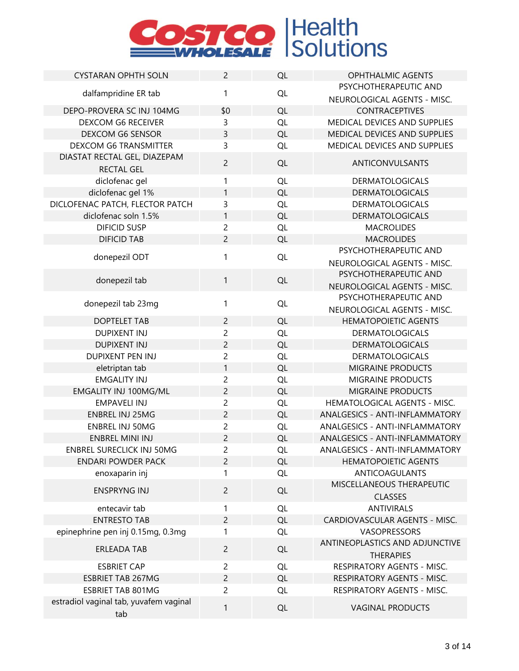| <b>CYSTARAN OPHTH SOLN</b>                        | $\overline{2}$ | QL        | <b>OPHTHALMIC AGENTS</b>                           |
|---------------------------------------------------|----------------|-----------|----------------------------------------------------|
|                                                   |                |           | PSYCHOTHERAPEUTIC AND                              |
| dalfampridine ER tab                              | 1              | QL        | NEUROLOGICAL AGENTS - MISC.                        |
| DEPO-PROVERA SC INJ 104MG                         | \$0            | QL        | CONTRACEPTIVES                                     |
| <b>DEXCOM G6 RECEIVER</b>                         | 3              | QL        | MEDICAL DEVICES AND SUPPLIES                       |
| DEXCOM G6 SENSOR                                  | $\overline{3}$ | QL        | MEDICAL DEVICES AND SUPPLIES                       |
| <b>DEXCOM G6 TRANSMITTER</b>                      | 3              | QL        | MEDICAL DEVICES AND SUPPLIES                       |
| DIASTAT RECTAL GEL, DIAZEPAM<br><b>RECTAL GEL</b> | $\overline{c}$ | QL        | ANTICONVULSANTS                                    |
| diclofenac gel                                    | 1              | QL        | <b>DERMATOLOGICALS</b>                             |
| diclofenac gel 1%                                 | 1              | QL        | <b>DERMATOLOGICALS</b>                             |
| DICLOFENAC PATCH, FLECTOR PATCH                   | 3              | QL        | <b>DERMATOLOGICALS</b>                             |
| diclofenac soln 1.5%                              | $\mathbf{1}$   | QL        | <b>DERMATOLOGICALS</b>                             |
| <b>DIFICID SUSP</b>                               | $\overline{c}$ | QL        | <b>MACROLIDES</b>                                  |
| <b>DIFICID TAB</b>                                | $\overline{c}$ | QL        | <b>MACROLIDES</b>                                  |
|                                                   |                |           | PSYCHOTHERAPEUTIC AND                              |
| donepezil ODT                                     | 1              | QL        | NEUROLOGICAL AGENTS - MISC.                        |
|                                                   |                |           | PSYCHOTHERAPEUTIC AND                              |
| donepezil tab                                     | $\mathbf{1}$   | QL        | NEUROLOGICAL AGENTS - MISC.                        |
|                                                   |                |           | PSYCHOTHERAPEUTIC AND                              |
| donepezil tab 23mg                                | 1              | QL        | NEUROLOGICAL AGENTS - MISC.                        |
| <b>DOPTELET TAB</b>                               | $\overline{c}$ | QL        | <b>HEMATOPOIETIC AGENTS</b>                        |
| <b>DUPIXENT INJ</b>                               | $\overline{c}$ | QL        | <b>DERMATOLOGICALS</b>                             |
| <b>DUPIXENT INJ</b>                               | $\overline{c}$ | QL        | <b>DERMATOLOGICALS</b>                             |
| <b>DUPIXENT PEN INJ</b>                           | $\overline{c}$ | QL        | <b>DERMATOLOGICALS</b>                             |
| eletriptan tab                                    | 1              | QL        | <b>MIGRAINE PRODUCTS</b>                           |
| <b>EMGALITY INJ</b>                               | $\overline{c}$ | QL        | <b>MIGRAINE PRODUCTS</b>                           |
| EMGALITY INJ 100MG/ML                             | $\overline{c}$ | QL        | <b>MIGRAINE PRODUCTS</b>                           |
| <b>EMPAVELI INJ</b>                               | $\overline{c}$ | QL        | HEMATOLOGICAL AGENTS - MISC.                       |
| <b>ENBREL INJ 25MG</b>                            | $\overline{c}$ | QL        | ANALGESICS - ANTI-INFLAMMATORY                     |
| <b>ENBREL INJ 50MG</b>                            | $\overline{c}$ | QL        | ANALGESICS - ANTI-INFLAMMATORY                     |
| <b>ENBREL MINI INJ</b>                            | $\overline{c}$ | QL        | ANALGESICS - ANTI-INFLAMMATORY                     |
| <b>ENBREL SURECLICK INJ 50MG</b>                  | $\overline{c}$ | QL        | ANALGESICS - ANTI-INFLAMMATORY                     |
| <b>ENDARI POWDER PACK</b>                         | 2              | <b>QL</b> | <b>HEMATOPOIETIC AGENTS</b>                        |
| enoxaparin inj                                    | 1              | <b>QL</b> | <b>ANTICOAGULANTS</b>                              |
| <b>ENSPRYNG INJ</b>                               | $\overline{2}$ | <b>QL</b> | MISCELLANEOUS THERAPEUTIC<br><b>CLASSES</b>        |
| entecavir tab                                     | 1              | <b>QL</b> | <b>ANTIVIRALS</b>                                  |
| <b>ENTRESTO TAB</b>                               | $\overline{c}$ | <b>QL</b> | CARDIOVASCULAR AGENTS - MISC.                      |
| epinephrine pen inj 0.15mg, 0.3mg                 | 1              | <b>QL</b> | VASOPRESSORS                                       |
| <b>ERLEADA TAB</b>                                | $\overline{2}$ | QL        | ANTINEOPLASTICS AND ADJUNCTIVE<br><b>THERAPIES</b> |
| <b>ESBRIET CAP</b>                                | $\overline{2}$ | QL        | RESPIRATORY AGENTS - MISC.                         |
| <b>ESBRIET TAB 267MG</b>                          | $\overline{c}$ | <b>QL</b> | RESPIRATORY AGENTS - MISC.                         |
| <b>ESBRIET TAB 801MG</b>                          | $\overline{c}$ | QL        | RESPIRATORY AGENTS - MISC.                         |
| estradiol vaginal tab, yuvafem vaginal            |                |           |                                                    |
| tab                                               | 1              | QL        | <b>VAGINAL PRODUCTS</b>                            |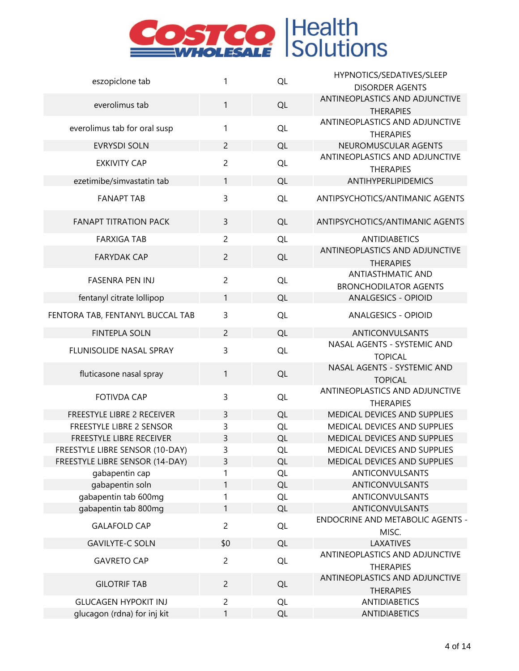

| eszopiclone tab                  | 1              | QL | HYPNOTICS/SEDATIVES/SLEEP               |
|----------------------------------|----------------|----|-----------------------------------------|
|                                  |                |    | <b>DISORDER AGENTS</b>                  |
| everolimus tab                   | 1              | QL | ANTINEOPLASTICS AND ADJUNCTIVE          |
|                                  |                |    | <b>THERAPIES</b>                        |
| everolimus tab for oral susp     | 1              | QL | ANTINEOPLASTICS AND ADJUNCTIVE          |
|                                  |                |    | <b>THERAPIES</b>                        |
| <b>EVRYSDI SOLN</b>              | $\overline{2}$ | QL | NEUROMUSCULAR AGENTS                    |
| <b>EXKIVITY CAP</b>              | $\overline{2}$ | QL | ANTINEOPLASTICS AND ADJUNCTIVE          |
|                                  |                |    | <b>THERAPIES</b>                        |
| ezetimibe/simvastatin tab        | $\mathbf{1}$   | QL | ANTIHYPERLIPIDEMICS                     |
| <b>FANAPT TAB</b>                | 3              | QL | ANTIPSYCHOTICS/ANTIMANIC AGENTS         |
|                                  |                |    |                                         |
| <b>FANAPT TITRATION PACK</b>     | 3              | QL | ANTIPSYCHOTICS/ANTIMANIC AGENTS         |
|                                  |                |    |                                         |
| <b>FARXIGA TAB</b>               | $\overline{c}$ | QL | <b>ANTIDIABETICS</b>                    |
| <b>FARYDAK CAP</b>               | $\overline{c}$ | QL | ANTINEOPLASTICS AND ADJUNCTIVE          |
|                                  |                |    | <b>THERAPIES</b>                        |
| <b>FASENRA PEN INJ</b>           | $\overline{c}$ | QL | <b>ANTIASTHMATIC AND</b>                |
|                                  |                |    | <b>BRONCHODILATOR AGENTS</b>            |
| fentanyl citrate lollipop        | 1              | QL | <b>ANALGESICS - OPIOID</b>              |
| FENTORA TAB, FENTANYL BUCCAL TAB | 3              | QL | <b>ANALGESICS - OPIOID</b>              |
| <b>FINTEPLA SOLN</b>             | $\overline{2}$ | QL | <b>ANTICONVULSANTS</b>                  |
|                                  |                |    | NASAL AGENTS - SYSTEMIC AND             |
| FLUNISOLIDE NASAL SPRAY          | 3              | QL | <b>TOPICAL</b>                          |
|                                  |                |    | NASAL AGENTS - SYSTEMIC AND             |
| fluticasone nasal spray          | 1              | QL | <b>TOPICAL</b>                          |
|                                  |                |    | ANTINEOPLASTICS AND ADJUNCTIVE          |
| <b>FOTIVDA CAP</b>               | 3              | QL | <b>THERAPIES</b>                        |
| FREESTYLE LIBRE 2 RECEIVER       | 3              | QL | MEDICAL DEVICES AND SUPPLIES            |
| FREESTYLE LIBRE 2 SENSOR         | 3              | QL | MEDICAL DEVICES AND SUPPLIES            |
| FREESTYLE LIBRE RECEIVER         | 3              | QL | MEDICAL DEVICES AND SUPPLIES            |
| FREESTYLE LIBRE SENSOR (10-DAY)  | 3              | QL | MEDICAL DEVICES AND SUPPLIES            |
| FREESTYLE LIBRE SENSOR (14-DAY)  | 3              | QL | MEDICAL DEVICES AND SUPPLIES            |
| gabapentin cap                   | 1              | QL | ANTICONVULSANTS                         |
| gabapentin soln                  | 1              | QL | ANTICONVULSANTS                         |
| gabapentin tab 600mg             | 1              | QL | ANTICONVULSANTS                         |
| gabapentin tab 800mg             | $\mathbf{1}$   | QL | ANTICONVULSANTS                         |
|                                  |                |    | <b>ENDOCRINE AND METABOLIC AGENTS -</b> |
| <b>GALAFOLD CAP</b>              | $\overline{2}$ | QL | MISC.                                   |
| <b>GAVILYTE-C SOLN</b>           | \$0            | QL | <b>LAXATIVES</b>                        |
|                                  |                |    | ANTINEOPLASTICS AND ADJUNCTIVE          |
| <b>GAVRETO CAP</b>               | $\overline{c}$ | QL | <b>THERAPIES</b>                        |
|                                  |                |    | ANTINEOPLASTICS AND ADJUNCTIVE          |
| <b>GILOTRIF TAB</b>              | $\overline{c}$ | QL | <b>THERAPIES</b>                        |
| <b>GLUCAGEN HYPOKIT INJ</b>      | $\overline{c}$ | QL | <b>ANTIDIABETICS</b>                    |
| glucagon (rdna) for inj kit      | $\mathbf{1}$   | QL | <b>ANTIDIABETICS</b>                    |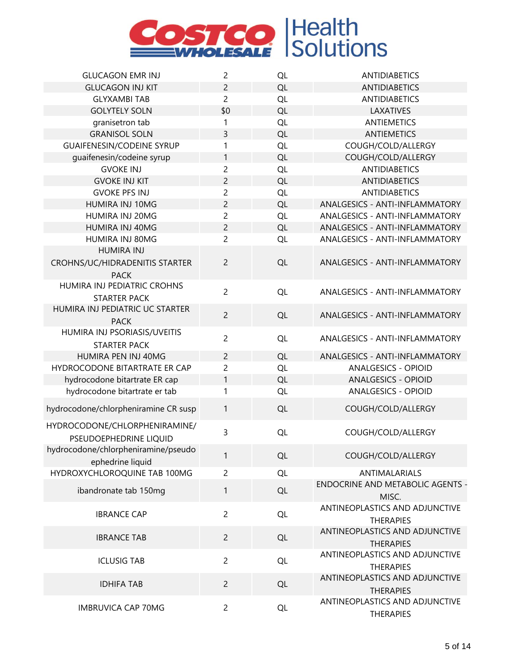

| <b>GLUCAGON EMR INJ</b>                          | $\overline{c}$ | QL        | <b>ANTIDIABETICS</b>                    |
|--------------------------------------------------|----------------|-----------|-----------------------------------------|
| <b>GLUCAGON INJ KIT</b>                          | 2              | QL        | <b>ANTIDIABETICS</b>                    |
| <b>GLYXAMBI TAB</b>                              | $\overline{c}$ | QL        | <b>ANTIDIABETICS</b>                    |
| <b>GOLYTELY SOLN</b>                             | \$0            | QL        | LAXATIVES                               |
| granisetron tab                                  | 1              | QL        | <b>ANTIEMETICS</b>                      |
| <b>GRANISOL SOLN</b>                             | 3              | QL        | <b>ANTIEMETICS</b>                      |
| <b>GUAIFENESIN/CODEINE SYRUP</b>                 | 1              | QL        | COUGH/COLD/ALLERGY                      |
| quaifenesin/codeine syrup                        | 1              | QL        | COUGH/COLD/ALLERGY                      |
| <b>GVOKE INJ</b>                                 | $\overline{c}$ | QL        | <b>ANTIDIABETICS</b>                    |
| <b>GVOKE INJ KIT</b>                             | $\overline{c}$ | QL        | <b>ANTIDIABETICS</b>                    |
| <b>GVOKE PFS INJ</b>                             | $\overline{c}$ | QL        | <b>ANTIDIABETICS</b>                    |
| HUMIRA INJ 10MG                                  | $\overline{2}$ | QL        | ANALGESICS - ANTI-INFLAMMATORY          |
| HUMIRA INJ 20MG                                  | 2              | QL        | ANALGESICS - ANTI-INFLAMMATORY          |
| HUMIRA INJ 40MG                                  | $\overline{c}$ | QL        | ANALGESICS - ANTI-INFLAMMATORY          |
| HUMIRA INJ 80MG                                  | 2              | QL        | ANALGESICS - ANTI-INFLAMMATORY          |
| <b>HUMIRA INJ</b>                                |                |           |                                         |
| CROHNS/UC/HIDRADENITIS STARTER                   | $\overline{2}$ | QL        | ANALGESICS - ANTI-INFLAMMATORY          |
| <b>PACK</b>                                      |                |           |                                         |
| HUMIRA INJ PEDIATRIC CROHNS                      | $\overline{2}$ | QL        | ANALGESICS - ANTI-INFLAMMATORY          |
| <b>STARTER PACK</b>                              |                |           |                                         |
| HUMIRA INJ PEDIATRIC UC STARTER<br><b>PACK</b>   | $\overline{2}$ | QL        | ANALGESICS - ANTI-INFLAMMATORY          |
| HUMIRA INJ PSORIASIS/UVEITIS                     |                |           |                                         |
| <b>STARTER PACK</b>                              | $\overline{c}$ | QL        | ANALGESICS - ANTI-INFLAMMATORY          |
| HUMIRA PEN INJ 40MG                              | $\overline{c}$ | QL        | ANALGESICS - ANTI-INFLAMMATORY          |
| HYDROCODONE BITARTRATE ER CAP                    | 2              | QL        | <b>ANALGESICS - OPIOID</b>              |
| hydrocodone bitartrate ER cap                    | $\mathbf{1}$   | QL        | <b>ANALGESICS - OPIOID</b>              |
| hydrocodone bitartrate er tab                    | 1              | QL        | <b>ANALGESICS - OPIOID</b>              |
|                                                  |                |           |                                         |
| hydrocodone/chlorpheniramine CR susp             | 1              | QL        | COUGH/COLD/ALLERGY                      |
| HYDROCODONE/CHLORPHENIRAMINE/                    | 3              | QL        | COUGH/COLD/ALLERGY                      |
| PSEUDOEPHEDRINE LIQUID                           |                |           |                                         |
| hydrocodone/chlorpheniramine/pseudo              | 1              | QL        | COUGH/COLD/ALLERGY                      |
| ephedrine liquid<br>HYDROXYCHLOROQUINE TAB 100MG | $\overline{c}$ |           | <b>ANTIMALARIALS</b>                    |
|                                                  |                | QL        | <b>ENDOCRINE AND METABOLIC AGENTS -</b> |
| ibandronate tab 150mg                            | 1              | QL        | MISC.                                   |
|                                                  |                |           | ANTINEOPLASTICS AND ADJUNCTIVE          |
| <b>IBRANCE CAP</b>                               | $\overline{2}$ | <b>QL</b> | <b>THERAPIES</b>                        |
|                                                  |                |           | ANTINEOPLASTICS AND ADJUNCTIVE          |
| <b>IBRANCE TAB</b>                               | $\overline{2}$ | QL        | <b>THERAPIES</b>                        |
|                                                  |                |           | ANTINEOPLASTICS AND ADJUNCTIVE          |
| <b>ICLUSIG TAB</b>                               | $\overline{c}$ | QL        | <b>THERAPIES</b>                        |
|                                                  |                |           | ANTINEOPLASTICS AND ADJUNCTIVE          |
| <b>IDHIFA TAB</b>                                | $\overline{2}$ | QL        | <b>THERAPIES</b>                        |
|                                                  |                |           | ANTINEOPLASTICS AND ADJUNCTIVE          |
| <b>IMBRUVICA CAP 70MG</b>                        | $\overline{c}$ | QL        | <b>THERAPIES</b>                        |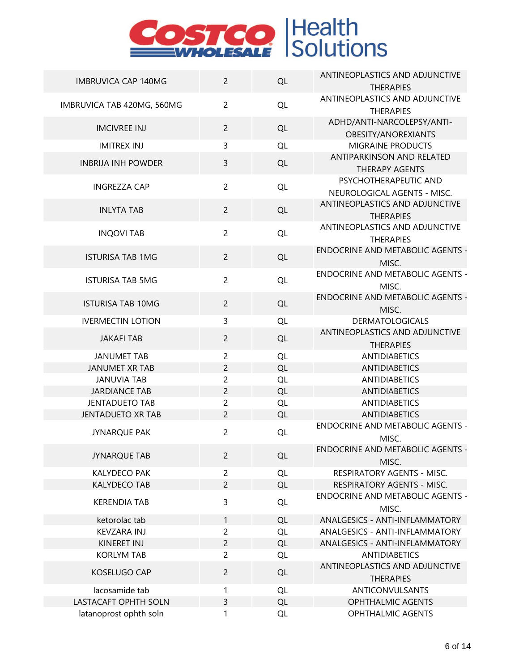| <b>IMBRUVICA CAP 140MG</b> | $\overline{2}$ | QL        | ANTINEOPLASTICS AND ADJUNCTIVE                        |
|----------------------------|----------------|-----------|-------------------------------------------------------|
|                            |                |           | <b>THERAPIES</b>                                      |
| IMBRUVICA TAB 420MG, 560MG | $\overline{2}$ | QL        | ANTINEOPLASTICS AND ADJUNCTIVE                        |
|                            |                |           | <b>THERAPIES</b>                                      |
| <b>IMCIVREE INJ</b>        | $\overline{2}$ | QL        | ADHD/ANTI-NARCOLEPSY/ANTI-                            |
|                            |                |           | OBESITY/ANOREXIANTS                                   |
| <b>IMITREX INJ</b>         | 3              | QL        | MIGRAINE PRODUCTS<br><b>ANTIPARKINSON AND RELATED</b> |
| <b>INBRIJA INH POWDER</b>  | 3              | QL        | <b>THERAPY AGENTS</b>                                 |
|                            |                |           | PSYCHOTHERAPEUTIC AND                                 |
| <b>INGREZZA CAP</b>        | $\overline{2}$ | QL        | NEUROLOGICAL AGENTS - MISC.                           |
|                            |                |           | ANTINEOPLASTICS AND ADJUNCTIVE                        |
| <b>INLYTA TAB</b>          | $\overline{2}$ | QL        | <b>THERAPIES</b>                                      |
|                            |                |           | ANTINEOPLASTICS AND ADJUNCTIVE                        |
| <b>INQOVI TAB</b>          | $\overline{c}$ | QL        | <b>THERAPIES</b>                                      |
| <b>ISTURISA TAB 1MG</b>    | $\overline{2}$ | QL        | <b>ENDOCRINE AND METABOLIC AGENTS -</b>               |
|                            |                |           | MISC.                                                 |
| <b>ISTURISA TAB 5MG</b>    | $\overline{2}$ | QL        | <b>ENDOCRINE AND METABOLIC AGENTS -</b>               |
|                            |                |           | MISC.                                                 |
| <b>ISTURISA TAB 10MG</b>   | $\overline{2}$ | QL        | <b>ENDOCRINE AND METABOLIC AGENTS -</b>               |
|                            |                |           | MISC.                                                 |
| <b>IVERMECTIN LOTION</b>   | 3              | QL        | <b>DERMATOLOGICALS</b>                                |
| <b>JAKAFI TAB</b>          | $\overline{c}$ | QL        | ANTINEOPLASTICS AND ADJUNCTIVE                        |
| <b>JANUMET TAB</b>         | $\overline{2}$ | QL        | <b>THERAPIES</b><br><b>ANTIDIABETICS</b>              |
| <b>JANUMET XR TAB</b>      | $\overline{c}$ | QL        | <b>ANTIDIABETICS</b>                                  |
| <b>JANUVIA TAB</b>         | $\overline{c}$ | QL        | <b>ANTIDIABETICS</b>                                  |
| <b>JARDIANCE TAB</b>       | $\overline{c}$ | QL        | <b>ANTIDIABETICS</b>                                  |
| <b>JENTADUETO TAB</b>      | $\overline{c}$ | QL        | <b>ANTIDIABETICS</b>                                  |
| <b>JENTADUETO XR TAB</b>   | $\overline{2}$ | QL        | <b>ANTIDIABETICS</b>                                  |
| <b>JYNARQUE PAK</b>        | $\overline{2}$ | QL        | <b>ENDOCRINE AND METABOLIC AGENTS -</b>               |
|                            |                |           | MISC.                                                 |
| <b>JYNARQUE TAB</b>        | $\overline{2}$ | QL        | ENDOCRINE AND METABOLIC AGENTS -                      |
|                            |                |           | MISC.                                                 |
| <b>KALYDECO PAK</b>        | $\overline{2}$ | QL        | RESPIRATORY AGENTS - MISC.                            |
| <b>KALYDECO TAB</b>        | $\overline{c}$ | QL        | RESPIRATORY AGENTS - MISC.                            |
| <b>KERENDIA TAB</b>        | 3              | <b>QL</b> | <b>ENDOCRINE AND METABOLIC AGENTS -</b>               |
| ketorolac tab              | $\mathbf{1}$   |           | MISC.<br>ANALGESICS - ANTI-INFLAMMATORY               |
| <b>KEVZARA INJ</b>         | $\overline{c}$ | QL<br>QL  | ANALGESICS - ANTI-INFLAMMATORY                        |
| KINERET INJ                | $\overline{c}$ | QL        | ANALGESICS - ANTI-INFLAMMATORY                        |
| <b>KORLYM TAB</b>          | $\overline{c}$ | QL        | <b>ANTIDIABETICS</b>                                  |
|                            |                |           | ANTINEOPLASTICS AND ADJUNCTIVE                        |
| KOSELUGO CAP               | $\overline{c}$ | QL        | <b>THERAPIES</b>                                      |
| lacosamide tab             | 1              | <b>QL</b> | ANTICONVULSANTS                                       |
| LASTACAFT OPHTH SOLN       | 3              | <b>QL</b> | <b>OPHTHALMIC AGENTS</b>                              |
| latanoprost ophth soln     | 1              | QL        | OPHTHALMIC AGENTS                                     |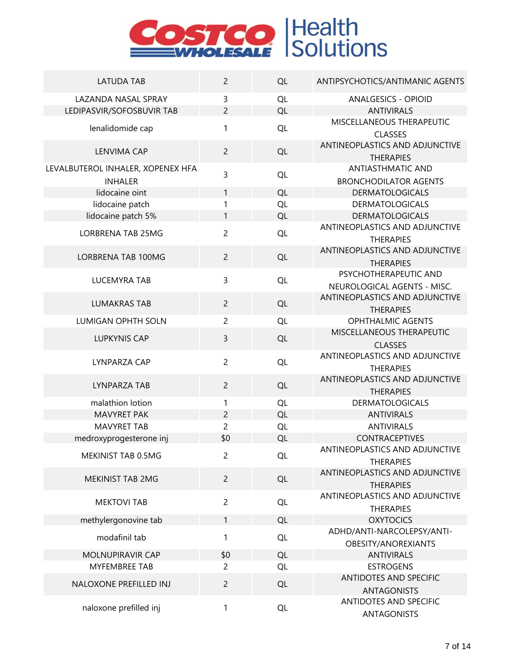| <b>LATUDA TAB</b>                                       | $\overline{c}$      | QL        | ANTIPSYCHOTICS/ANTIMANIC AGENTS                          |
|---------------------------------------------------------|---------------------|-----------|----------------------------------------------------------|
| <b>LAZANDA NASAL SPRAY</b><br>LEDIPASVIR/SOFOSBUVIR TAB | 3<br>$\overline{2}$ | QL<br>QL  | <b>ANALGESICS - OPIOID</b><br><b>ANTIVIRALS</b>          |
| lenalidomide cap                                        | 1                   | QL        | MISCELLANEOUS THERAPEUTIC                                |
|                                                         |                     |           | <b>CLASSES</b><br>ANTINEOPLASTICS AND ADJUNCTIVE         |
| <b>LENVIMA CAP</b>                                      | $\overline{2}$      | QL        | <b>THERAPIES</b>                                         |
| LEVALBUTEROL INHALER, XOPENEX HFA<br><b>INHALER</b>     | 3                   | QL        | <b>ANTIASTHMATIC AND</b><br><b>BRONCHODILATOR AGENTS</b> |
| lidocaine oint                                          | 1                   | QL        | <b>DERMATOLOGICALS</b>                                   |
| lidocaine patch                                         | 1                   | QL        | <b>DERMATOLOGICALS</b>                                   |
| lidocaine patch 5%                                      | 1                   | QL        | <b>DERMATOLOGICALS</b>                                   |
| LORBRENA TAB 25MG                                       | $\overline{2}$      | QL        | ANTINEOPLASTICS AND ADJUNCTIVE<br><b>THERAPIES</b>       |
| <b>LORBRENA TAB 100MG</b>                               | $\overline{2}$      | QL        | ANTINEOPLASTICS AND ADJUNCTIVE<br><b>THERAPIES</b>       |
| <b>LUCEMYRA TAB</b>                                     | 3                   | QL        | PSYCHOTHERAPEUTIC AND<br>NEUROLOGICAL AGENTS - MISC.     |
| <b>LUMAKRAS TAB</b>                                     | $\overline{2}$      | QL        | ANTINEOPLASTICS AND ADJUNCTIVE<br><b>THERAPIES</b>       |
| LUMIGAN OPHTH SOLN                                      | $\overline{c}$      | QL        | <b>OPHTHALMIC AGENTS</b>                                 |
| <b>LUPKYNIS CAP</b>                                     | 3                   | QL        | MISCELLANEOUS THERAPEUTIC<br><b>CLASSES</b>              |
| LYNPARZA CAP                                            | $\overline{c}$      | QL        | ANTINEOPLASTICS AND ADJUNCTIVE<br><b>THERAPIES</b>       |
| LYNPARZA TAB                                            | $\overline{2}$      | QL        | ANTINEOPLASTICS AND ADJUNCTIVE<br><b>THERAPIES</b>       |
| malathion lotion                                        | 1                   | QL        | <b>DERMATOLOGICALS</b>                                   |
| <b>MAVYRET PAK</b>                                      | $\overline{2}$      | QL        | <b>ANTIVIRALS</b>                                        |
| <b>MAVYRET TAB</b>                                      | $\overline{c}$      | QL        | <b>ANTIVIRALS</b>                                        |
| medroxyprogesterone inj                                 | \$0                 | QL        | <b>CONTRACEPTIVES</b>                                    |
|                                                         |                     |           | ANTINEOPLASTICS AND ADJUNCTIVE                           |
| MEKINIST TAB 0.5MG                                      | 2                   | QL        | <b>THERAPIES</b>                                         |
|                                                         |                     |           | ANTINEOPLASTICS AND ADJUNCTIVE                           |
| MEKINIST TAB 2MG                                        | $\overline{c}$      | QL        | <b>THERAPIES</b>                                         |
| <b>MEKTOVI TAB</b>                                      | $\overline{2}$      | QL        | ANTINEOPLASTICS AND ADJUNCTIVE                           |
|                                                         |                     |           | <b>THERAPIES</b>                                         |
| methylergonovine tab                                    | 1                   | QL        | <b>OXYTOCICS</b>                                         |
| modafinil tab                                           | 1                   | QL        | ADHD/ANTI-NARCOLEPSY/ANTI-<br>OBESITY/ANOREXIANTS        |
| MOLNUPIRAVIR CAP                                        | \$0                 | QL        | <b>ANTIVIRALS</b>                                        |
| <b>MYFEMBREE TAB</b>                                    | 2                   | QL        | <b>ESTROGENS</b>                                         |
|                                                         |                     |           | ANTIDOTES AND SPECIFIC                                   |
| NALOXONE PREFILLED INJ                                  | $\overline{c}$      | <b>QL</b> | <b>ANTAGONISTS</b>                                       |
| naloxone prefilled inj                                  | 1                   | <b>QL</b> | ANTIDOTES AND SPECIFIC<br><b>ANTAGONISTS</b>             |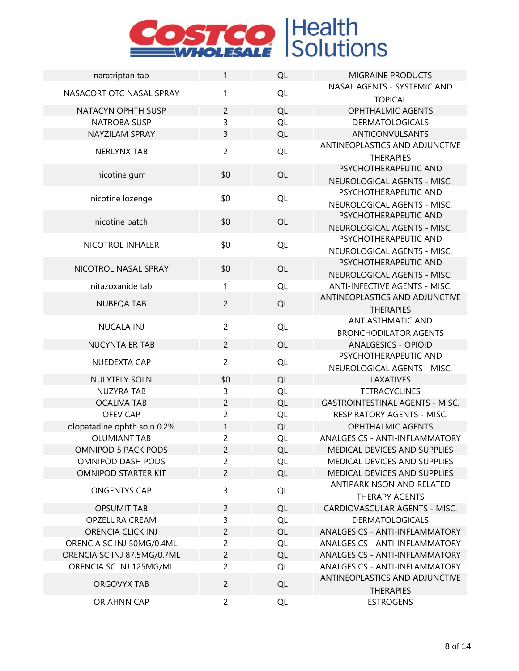| naratriptan tab             | 1              | QL        | <b>MIGRAINE PRODUCTS</b>               |
|-----------------------------|----------------|-----------|----------------------------------------|
| NASACORT OTC NASAL SPRAY    | 1              | QL        | NASAL AGENTS - SYSTEMIC AND            |
|                             |                |           | <b>TOPICAL</b>                         |
| NATACYN OPHTH SUSP          | $\overline{c}$ | QL        | <b>OPHTHALMIC AGENTS</b>               |
| <b>NATROBA SUSP</b>         | 3              | QL        | <b>DERMATOLOGICALS</b>                 |
| NAYZILAM SPRAY              | 3              | QL        | <b>ANTICONVULSANTS</b>                 |
| <b>NERLYNX TAB</b>          | $\overline{2}$ | QL        | ANTINEOPLASTICS AND ADJUNCTIVE         |
|                             |                |           | <b>THERAPIES</b>                       |
| nicotine gum                | \$0            | QL        | PSYCHOTHERAPEUTIC AND                  |
|                             |                |           | NEUROLOGICAL AGENTS - MISC.            |
| nicotine lozenge            | \$0            | QL        | PSYCHOTHERAPEUTIC AND                  |
|                             |                |           | NEUROLOGICAL AGENTS - MISC.            |
| nicotine patch              | \$0            | QL        | PSYCHOTHERAPEUTIC AND                  |
|                             |                |           | NEUROLOGICAL AGENTS - MISC.            |
| NICOTROL INHALER            | \$0            | QL        | PSYCHOTHERAPEUTIC AND                  |
|                             |                |           | NEUROLOGICAL AGENTS - MISC.            |
| NICOTROL NASAL SPRAY        | \$0            |           | PSYCHOTHERAPEUTIC AND                  |
|                             |                | QL        | NEUROLOGICAL AGENTS - MISC.            |
| nitazoxanide tab            | 1              | QL        | ANTI-INFECTIVE AGENTS - MISC.          |
| <b>NUBEQA TAB</b>           | $\overline{2}$ | QL        | ANTINEOPLASTICS AND ADJUNCTIVE         |
|                             |                |           | <b>THERAPIES</b>                       |
| <b>NUCALA INJ</b>           | $\overline{c}$ | QL        | <b>ANTIASTHMATIC AND</b>               |
|                             |                |           | <b>BRONCHODILATOR AGENTS</b>           |
| <b>NUCYNTA ER TAB</b>       | $\overline{c}$ | QL        | <b>ANALGESICS - OPIOID</b>             |
| NUEDEXTA CAP                | $\overline{c}$ | QL        | PSYCHOTHERAPEUTIC AND                  |
|                             |                |           | NEUROLOGICAL AGENTS - MISC.            |
| NULYTELY SOLN               | \$0            | QL        | LAXATIVES                              |
| <b>NUZYRA TAB</b>           | 3              | QL        | <b>TETRACYCLINES</b>                   |
| <b>OCALIVA TAB</b>          | $\overline{c}$ | QL        | <b>GASTROINTESTINAL AGENTS - MISC.</b> |
| <b>OFEV CAP</b>             | $\overline{c}$ | QL        | RESPIRATORY AGENTS - MISC.             |
| olopatadine ophth soln 0.2% | 1              | QL        | <b>OPHTHALMIC AGENTS</b>               |
| <b>OLUMIANT TAB</b>         | $\overline{c}$ | QL        | ANALGESICS - ANTI-INFLAMMATORY         |
| OMNIPOD 5 PACK PODS         | $\overline{c}$ | QL        | MEDICAL DEVICES AND SUPPLIES           |
| OMNIPOD DASH PODS           | $\overline{c}$ | QL        | MEDICAL DEVICES AND SUPPLIES           |
| <b>OMNIPOD STARTER KIT</b>  | $\overline{c}$ | QL        | MEDICAL DEVICES AND SUPPLIES           |
|                             | 3              |           | ANTIPARKINSON AND RELATED              |
| <b>ONGENTYS CAP</b>         |                | <b>QL</b> | <b>THERAPY AGENTS</b>                  |
| <b>OPSUMIT TAB</b>          | $\overline{c}$ | QL        | CARDIOVASCULAR AGENTS - MISC.          |
| OPZELURA CREAM              | 3              | QL        | <b>DERMATOLOGICALS</b>                 |
| ORENCIA CLICK INJ           | $\overline{c}$ | QL        | <b>ANALGESICS - ANTI-INFLAMMATORY</b>  |
| ORENCIA SC INJ 50MG/0.4ML   | 2              | QL        | ANALGESICS - ANTI-INFLAMMATORY         |
| ORENCIA SC INJ 87.5MG/0.7ML | $\overline{c}$ | QL        | <b>ANALGESICS - ANTI-INFLAMMATORY</b>  |
| ORENCIA SC INJ 125MG/ML     | $\overline{2}$ | <b>QL</b> | ANALGESICS - ANTI-INFLAMMATORY         |
|                             |                |           | ANTINEOPLASTICS AND ADJUNCTIVE         |
| ORGOVYX TAB                 | $\overline{c}$ | QL        | <b>THERAPIES</b>                       |
| <b>ORIAHNN CAP</b>          | $\overline{2}$ | <b>QL</b> | <b>ESTROGENS</b>                       |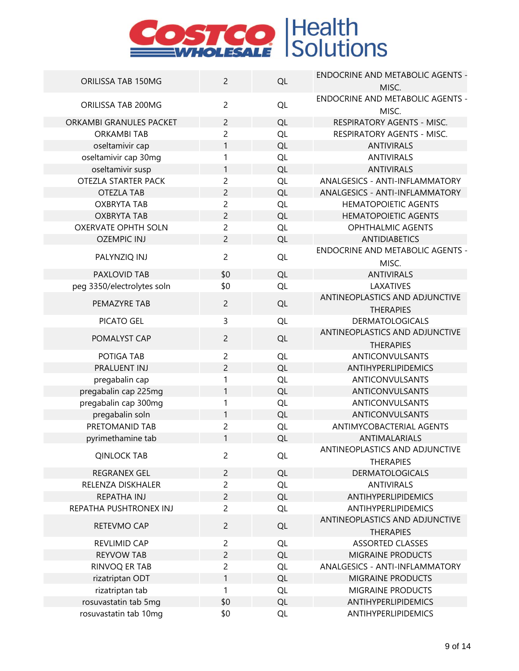|                            | $\overline{2}$ |           | <b>ENDOCRINE AND METABOLIC AGENTS -</b> |
|----------------------------|----------------|-----------|-----------------------------------------|
| ORILISSA TAB 150MG         |                | QL        | MISC.                                   |
| ORILISSA TAB 200MG         | $\overline{c}$ | QL        | <b>ENDOCRINE AND METABOLIC AGENTS -</b> |
|                            |                |           | MISC.                                   |
| ORKAMBI GRANULES PACKET    | $\overline{2}$ | QL        | RESPIRATORY AGENTS - MISC.              |
| <b>ORKAMBI TAB</b>         | $\overline{c}$ | QL        | RESPIRATORY AGENTS - MISC.              |
| oseltamivir cap            | 1              | QL        | <b>ANTIVIRALS</b>                       |
| oseltamivir cap 30mg       | 1              | QL        | <b>ANTIVIRALS</b>                       |
| oseltamivir susp           | 1              | QL        | <b>ANTIVIRALS</b>                       |
| OTEZLA STARTER PACK        | $\overline{c}$ | QL        | ANALGESICS - ANTI-INFLAMMATORY          |
| <b>OTEZLA TAB</b>          | $\overline{c}$ | QL        | ANALGESICS - ANTI-INFLAMMATORY          |
| <b>OXBRYTA TAB</b>         | $\overline{c}$ | QL        | <b>HEMATOPOIETIC AGENTS</b>             |
| <b>OXBRYTA TAB</b>         | $\overline{c}$ | QL        | <b>HEMATOPOIETIC AGENTS</b>             |
| <b>OXERVATE OPHTH SOLN</b> | $\overline{c}$ | QL        | <b>OPHTHALMIC AGENTS</b>                |
| <b>OZEMPIC INJ</b>         | $\overline{2}$ | QL        | <b>ANTIDIABETICS</b>                    |
|                            | $\overline{2}$ |           | <b>ENDOCRINE AND METABOLIC AGENTS -</b> |
| PALYNZIQ INJ               |                | QL        | MISC.                                   |
| PAXLOVID TAB               | \$0            | QL        | <b>ANTIVIRALS</b>                       |
| peg 3350/electrolytes soln | \$0            | QL        | LAXATIVES                               |
|                            |                |           | ANTINEOPLASTICS AND ADJUNCTIVE          |
| PEMAZYRE TAB               | $\overline{2}$ | QL        | <b>THERAPIES</b>                        |
| PICATO GEL                 | 3              | QL        | <b>DERMATOLOGICALS</b>                  |
|                            |                |           | ANTINEOPLASTICS AND ADJUNCTIVE          |
| POMALYST CAP               | $\overline{c}$ | QL        | <b>THERAPIES</b>                        |
| POTIGA TAB                 | $\overline{c}$ | QL        | ANTICONVULSANTS                         |
| PRALUENT INJ               | $\overline{c}$ | QL        | ANTIHYPERLIPIDEMICS                     |
| pregabalin cap             | 1              | QL        | ANTICONVULSANTS                         |
| pregabalin cap 225mg       | 1              | QL        | ANTICONVULSANTS                         |
| pregabalin cap 300mg       | 1              | QL        | ANTICONVULSANTS                         |
| pregabalin soln            | $\mathbf{1}$   | <b>QL</b> | ANTICONVULSANTS                         |
| PRETOMANID TAB             | $\overline{c}$ | QL        | <b>ANTIMYCOBACTERIAL AGENTS</b>         |
| pyrimethamine tab          | 1              | QL        | ANTIMALARIALS                           |
|                            |                |           | ANTINEOPLASTICS AND ADJUNCTIVE          |
| <b>QINLOCK TAB</b>         | $\overline{c}$ | QL        | <b>THERAPIES</b>                        |
| <b>REGRANEX GEL</b>        | $\overline{2}$ | QL        | <b>DERMATOLOGICALS</b>                  |
| RELENZA DISKHALER          | $\overline{c}$ | <b>QL</b> | <b>ANTIVIRALS</b>                       |
| REPATHA INJ                | $\overline{c}$ | QL        | ANTIHYPERLIPIDEMICS                     |
| REPATHA PUSHTRONEX INJ     | $\overline{2}$ | QL        | <b>ANTIHYPERLIPIDEMICS</b>              |
|                            |                |           | ANTINEOPLASTICS AND ADJUNCTIVE          |
| RETEVMO CAP                | $\overline{c}$ | QL        | <b>THERAPIES</b>                        |
| REVLIMID CAP               | $\overline{c}$ | QL        | <b>ASSORTED CLASSES</b>                 |
| <b>REYVOW TAB</b>          | $\overline{c}$ | <b>QL</b> | <b>MIGRAINE PRODUCTS</b>                |
| RINVOQ ER TAB              | $\overline{c}$ | QL        | ANALGESICS - ANTI-INFLAMMATORY          |
| rizatriptan ODT            | 1              | QL        | <b>MIGRAINE PRODUCTS</b>                |
| rizatriptan tab            | 1              | QL        | MIGRAINE PRODUCTS                       |
| rosuvastatin tab 5mg       | \$0            | QL        | ANTIHYPERLIPIDEMICS                     |
| rosuvastatin tab 10mg      | \$0            | QL        | ANTIHYPERLIPIDEMICS                     |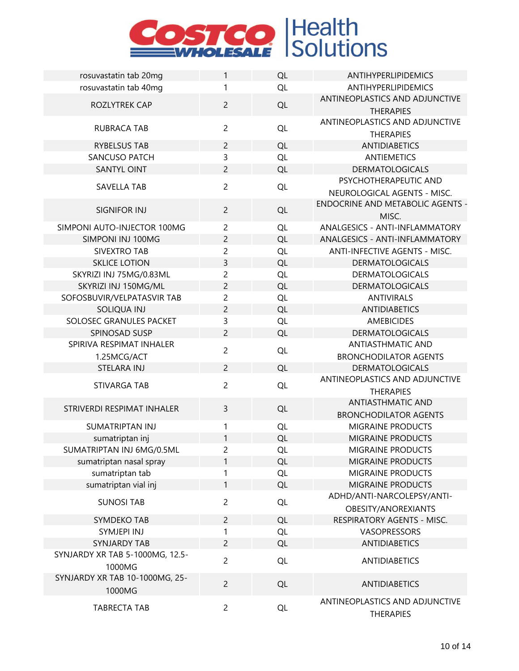| rosuvastatin tab 20mg           | 1              | QL        | ANTIHYPERLIPIDEMICS                     |
|---------------------------------|----------------|-----------|-----------------------------------------|
| rosuvastatin tab 40mg           | 1              | QL        | <b>ANTIHYPERLIPIDEMICS</b>              |
|                                 |                |           | ANTINEOPLASTICS AND ADJUNCTIVE          |
| ROZLYTREK CAP                   | $\overline{2}$ | QL        | <b>THERAPIES</b>                        |
|                                 |                |           | ANTINEOPLASTICS AND ADJUNCTIVE          |
| RUBRACA TAB                     | $\overline{2}$ | QL        | <b>THERAPIES</b>                        |
| <b>RYBELSUS TAB</b>             | $\overline{2}$ | QL        | <b>ANTIDIABETICS</b>                    |
| SANCUSO PATCH                   | 3              | QL        | <b>ANTIEMETICS</b>                      |
| <b>SANTYL OINT</b>              | $\overline{2}$ | QL        | <b>DERMATOLOGICALS</b>                  |
|                                 |                |           | PSYCHOTHERAPEUTIC AND                   |
| <b>SAVELLA TAB</b>              | $\overline{c}$ | QL        | NEUROLOGICAL AGENTS - MISC.             |
|                                 |                |           | <b>ENDOCRINE AND METABOLIC AGENTS -</b> |
| <b>SIGNIFOR INJ</b>             | $\overline{2}$ | QL        | MISC.                                   |
| SIMPONI AUTO-INJECTOR 100MG     | $\overline{c}$ | QL        | ANALGESICS - ANTI-INFLAMMATORY          |
| SIMPONI INJ 100MG               | $\overline{2}$ | QL        | ANALGESICS - ANTI-INFLAMMATORY          |
| <b>SIVEXTRO TAB</b>             | $\overline{c}$ | QL        | ANTI-INFECTIVE AGENTS - MISC.           |
| <b>SKLICE LOTION</b>            | 3              | QL        | <b>DERMATOLOGICALS</b>                  |
| SKYRIZI INJ 75MG/0.83ML         | $\overline{c}$ | QL        | <b>DERMATOLOGICALS</b>                  |
| SKYRIZI INJ 150MG/ML            | $\overline{c}$ | QL        | <b>DERMATOLOGICALS</b>                  |
| SOFOSBUVIR/VELPATASVIR TAB      | $\overline{c}$ | QL        | <b>ANTIVIRALS</b>                       |
| <b>SOLIQUA INJ</b>              | $\overline{2}$ | QL        | <b>ANTIDIABETICS</b>                    |
| SOLOSEC GRANULES PACKET         | 3              | QL        | <b>AMEBICIDES</b>                       |
| SPINOSAD SUSP                   | $\overline{c}$ | QL        | <b>DERMATOLOGICALS</b>                  |
| SPIRIVA RESPIMAT INHALER        |                |           | <b>ANTIASTHMATIC AND</b>                |
| 1.25MCG/ACT                     | $\overline{c}$ | QL        | <b>BRONCHODILATOR AGENTS</b>            |
| STELARA INJ                     | $\overline{2}$ | QL        | <b>DERMATOLOGICALS</b>                  |
|                                 |                |           | ANTINEOPLASTICS AND ADJUNCTIVE          |
| <b>STIVARGA TAB</b>             | $\overline{c}$ | QL        | <b>THERAPIES</b>                        |
|                                 |                |           | <b>ANTIASTHMATIC AND</b>                |
| STRIVERDI RESPIMAT INHALER      | 3              | QL        | <b>BRONCHODILATOR AGENTS</b>            |
| <b>SUMATRIPTAN INJ</b>          | 1              | QL        | MIGRAINE PRODUCTS                       |
| sumatriptan inj                 | 1              | QL        | <b>MIGRAINE PRODUCTS</b>                |
| SUMATRIPTAN INJ 6MG/0.5ML       | $\overline{c}$ | QL        | MIGRAINE PRODUCTS                       |
| sumatriptan nasal spray         | 1              | QL        | <b>MIGRAINE PRODUCTS</b>                |
| sumatriptan tab                 | 1              | QL        | MIGRAINE PRODUCTS                       |
| sumatriptan vial inj            | 1              | QL        | <b>MIGRAINE PRODUCTS</b>                |
|                                 | $\overline{c}$ |           | ADHD/ANTI-NARCOLEPSY/ANTI-              |
| <b>SUNOSI TAB</b>               |                | QL        | OBESITY/ANOREXIANTS                     |
| SYMDEKO TAB                     | $\overline{2}$ | QL        | RESPIRATORY AGENTS - MISC.              |
| SYMJEPI INJ                     | 1              | QL        | VASOPRESSORS                            |
| <b>SYNJARDY TAB</b>             | $\overline{2}$ | QL        | <b>ANTIDIABETICS</b>                    |
| SYNJARDY XR TAB 5-1000MG, 12.5- | $\overline{2}$ |           |                                         |
| 1000MG                          |                | <b>QL</b> | <b>ANTIDIABETICS</b>                    |
| SYNJARDY XR TAB 10-1000MG, 25-  |                |           |                                         |
| 1000MG                          | $\overline{c}$ | <b>QL</b> | <b>ANTIDIABETICS</b>                    |
|                                 | $\overline{c}$ |           | ANTINEOPLASTICS AND ADJUNCTIVE          |
| <b>TABRECTA TAB</b>             |                | QL        | <b>THERAPIES</b>                        |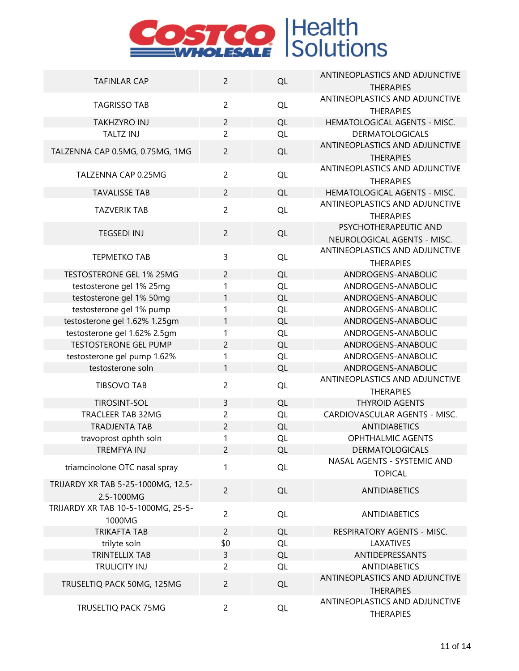| <b>TAFINLAR CAP</b>                | $\overline{2}$ | QL        | ANTINEOPLASTICS AND ADJUNCTIVE                                 |
|------------------------------------|----------------|-----------|----------------------------------------------------------------|
|                                    |                |           | <b>THERAPIES</b>                                               |
| <b>TAGRISSO TAB</b>                | $\overline{2}$ | QL        | ANTINEOPLASTICS AND ADJUNCTIVE<br><b>THERAPIES</b>             |
| <b>TAKHZYRO INJ</b>                | $\overline{2}$ | QL        | HEMATOLOGICAL AGENTS - MISC.                                   |
| <b>TALTZ INJ</b>                   | $\overline{2}$ | QL        | <b>DERMATOLOGICALS</b>                                         |
|                                    |                |           | ANTINEOPLASTICS AND ADJUNCTIVE                                 |
| TALZENNA CAP 0.5MG, 0.75MG, 1MG    | $\overline{2}$ | QL        | <b>THERAPIES</b>                                               |
| TALZENNA CAP 0.25MG                | $\overline{2}$ | QL        | ANTINEOPLASTICS AND ADJUNCTIVE                                 |
|                                    |                |           | <b>THERAPIES</b>                                               |
| <b>TAVALISSE TAB</b>               | $\overline{2}$ | QL        | HEMATOLOGICAL AGENTS - MISC.<br>ANTINEOPLASTICS AND ADJUNCTIVE |
| <b>TAZVERIK TAB</b>                | $\overline{2}$ | QL        | <b>THERAPIES</b>                                               |
|                                    |                |           | PSYCHOTHERAPEUTIC AND                                          |
| <b>TEGSEDI INJ</b>                 | $\overline{2}$ | QL        | NEUROLOGICAL AGENTS - MISC.                                    |
|                                    |                |           | ANTINEOPLASTICS AND ADJUNCTIVE                                 |
| <b>TEPMETKO TAB</b>                | 3              | QL        | <b>THERAPIES</b>                                               |
| TESTOSTERONE GEL 1% 25MG           | $\overline{c}$ | QL        | ANDROGENS-ANABOLIC                                             |
| testosterone gel 1% 25mg           | 1              | QL        | ANDROGENS-ANABOLIC                                             |
| testosterone gel 1% 50mg           | 1              | QL        | ANDROGENS-ANABOLIC                                             |
| testosterone gel 1% pump           | 1              | QL        | ANDROGENS-ANABOLIC                                             |
| testosterone gel 1.62% 1.25gm      | 1              | QL        | ANDROGENS-ANABOLIC                                             |
| testosterone gel 1.62% 2.5gm       | 1              | QL        | ANDROGENS-ANABOLIC                                             |
| <b>TESTOSTERONE GEL PUMP</b>       | $\overline{c}$ | QL        | ANDROGENS-ANABOLIC                                             |
| testosterone gel pump 1.62%        | 1              | QL        | ANDROGENS-ANABOLIC                                             |
| testosterone soln                  | 1              | QL        | ANDROGENS-ANABOLIC                                             |
|                                    |                |           | ANTINEOPLASTICS AND ADJUNCTIVE                                 |
| <b>TIBSOVO TAB</b>                 | $\overline{c}$ | QL        | <b>THERAPIES</b>                                               |
| <b>TIROSINT-SOL</b>                | 3              | QL        | <b>THYROID AGENTS</b>                                          |
| TRACLEER TAB 32MG                  | $\overline{c}$ | QL        | CARDIOVASCULAR AGENTS - MISC.                                  |
| <b>TRADJENTA TAB</b>               | $\overline{c}$ | QL        | <b>ANTIDIABETICS</b>                                           |
| travoprost ophth soln              | 1              | QL        | <b>OPHTHALMIC AGENTS</b>                                       |
| TREMFYA INJ                        | 2              | QL        | <b>DERMATOLOGICALS</b>                                         |
|                                    |                |           | NASAL AGENTS - SYSTEMIC AND                                    |
| triamcinolone OTC nasal spray      | 1              | <b>QL</b> | <b>TOPICAL</b>                                                 |
| TRIJARDY XR TAB 5-25-1000MG, 12.5- | $\overline{2}$ | QL        | <b>ANTIDIABETICS</b>                                           |
| 2.5-1000MG                         |                |           |                                                                |
| TRIJARDY XR TAB 10-5-1000MG, 25-5- | $\overline{2}$ | QL        | <b>ANTIDIABETICS</b>                                           |
| 1000MG                             |                |           |                                                                |
| <b>TRIKAFTA TAB</b>                | $\overline{2}$ | QL        | RESPIRATORY AGENTS - MISC.                                     |
| trilyte soln                       | \$0            | QL        | LAXATIVES                                                      |
| <b>TRINTELLIX TAB</b>              | 3              | QL        | ANTIDEPRESSANTS                                                |
| TRULICITY INJ                      | $\overline{c}$ | QL        | <b>ANTIDIABETICS</b>                                           |
|                                    |                |           | ANTINEOPLASTICS AND ADJUNCTIVE                                 |
| TRUSELTIQ PACK 50MG, 125MG         | $\overline{2}$ | QL        | <b>THERAPIES</b>                                               |
|                                    |                |           | ANTINEOPLASTICS AND ADJUNCTIVE                                 |
| TRUSELTIQ PACK 75MG                | $\overline{2}$ | QL        | <b>THERAPIES</b>                                               |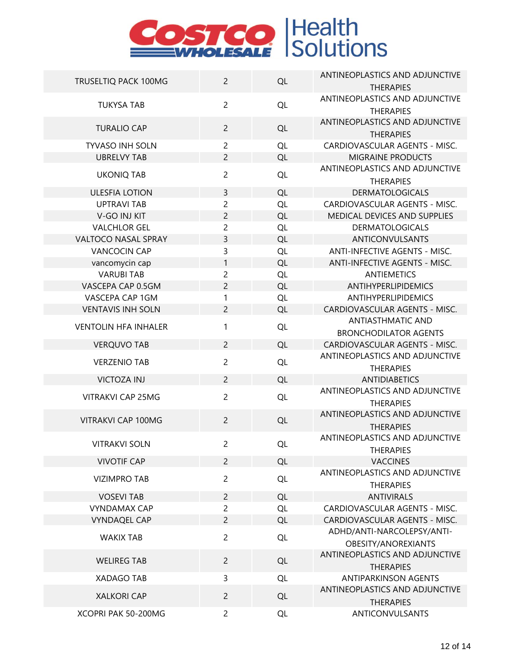| TRUSELTIQ PACK 100MG        | $\overline{2}$ | QL        | ANTINEOPLASTICS AND ADJUNCTIVE<br><b>THERAPIES</b> |
|-----------------------------|----------------|-----------|----------------------------------------------------|
| <b>TUKYSA TAB</b>           | $\overline{2}$ | <b>QL</b> | ANTINEOPLASTICS AND ADJUNCTIVE<br><b>THERAPIES</b> |
| <b>TURALIO CAP</b>          | $\overline{2}$ | QL        | ANTINEOPLASTICS AND ADJUNCTIVE<br><b>THERAPIES</b> |
| <b>TYVASO INH SOLN</b>      | $\overline{c}$ | <b>QL</b> | CARDIOVASCULAR AGENTS - MISC.                      |
| <b>UBRELVY TAB</b>          | $\overline{2}$ | QL        | <b>MIGRAINE PRODUCTS</b>                           |
| <b>UKONIQ TAB</b>           | $\overline{c}$ | QL        | ANTINEOPLASTICS AND ADJUNCTIVE<br><b>THERAPIES</b> |
| <b>ULESFIA LOTION</b>       | 3              | QL        | <b>DERMATOLOGICALS</b>                             |
| <b>UPTRAVI TAB</b>          | $\overline{c}$ | QL        | CARDIOVASCULAR AGENTS - MISC.                      |
| V-GO INJ KIT                | $\overline{c}$ | QL        | MEDICAL DEVICES AND SUPPLIES                       |
| <b>VALCHLOR GEL</b>         | $\overline{c}$ | QL        | <b>DERMATOLOGICALS</b>                             |
| VALTOCO NASAL SPRAY         | 3              | <b>QL</b> | ANTICONVULSANTS                                    |
| <b>VANCOCIN CAP</b>         | 3              | QL        | ANTI-INFECTIVE AGENTS - MISC.                      |
| vancomycin cap              | 1              | QL        | <b>ANTI-INFECTIVE AGENTS - MISC.</b>               |
| <b>VARUBI TAB</b>           | $\overline{c}$ | QL        | <b>ANTIEMETICS</b>                                 |
| VASCEPA CAP 0.5GM           | $\overline{2}$ | <b>QL</b> | <b>ANTIHYPERLIPIDEMICS</b>                         |
| VASCEPA CAP 1GM             | 1              | <b>QL</b> | <b>ANTIHYPERLIPIDEMICS</b>                         |
| <b>VENTAVIS INH SOLN</b>    | $\overline{2}$ | QL        | CARDIOVASCULAR AGENTS - MISC.                      |
|                             |                |           | <b>ANTIASTHMATIC AND</b>                           |
| <b>VENTOLIN HFA INHALER</b> | 1              | QL        | <b>BRONCHODILATOR AGENTS</b>                       |
| <b>VERQUVO TAB</b>          | $\overline{2}$ | QL        | CARDIOVASCULAR AGENTS - MISC.                      |
|                             |                |           | ANTINEOPLASTICS AND ADJUNCTIVE                     |
| <b>VERZENIO TAB</b>         | $\overline{c}$ | QL        | <b>THERAPIES</b>                                   |
| <b>VICTOZA INJ</b>          | $\overline{2}$ | QL        | <b>ANTIDIABETICS</b>                               |
| <b>VITRAKVI CAP 25MG</b>    | $\overline{2}$ | QL        | ANTINEOPLASTICS AND ADJUNCTIVE<br><b>THERAPIES</b> |
| VITRAKVI CAP 100MG          | $\overline{2}$ | QL        | ANTINEOPLASTICS AND ADJUNCTIVE                     |
|                             |                |           | <b>THERAPIES</b>                                   |
| <b>VITRAKVI SOLN</b>        | $\overline{c}$ | QL        | ANTINEOPLASTICS AND ADJUNCTIVE                     |
|                             |                |           | <b>THERAPIES</b><br><b>VACCINES</b>                |
| <b>VIVOTIF CAP</b>          | $\overline{2}$ | <b>QL</b> | <b>ANTINEOPLASTICS AND ADJUNCTIVE</b>              |
| <b>VIZIMPRO TAB</b>         | $\overline{2}$ | <b>QL</b> | <b>THERAPIES</b>                                   |
| <b>VOSEVI TAB</b>           | $\overline{2}$ | QL        | <b>ANTIVIRALS</b>                                  |
| <b>VYNDAMAX CAP</b>         | $\overline{2}$ | QL        | CARDIOVASCULAR AGENTS - MISC.                      |
| <b>VYNDAQEL CAP</b>         | $\overline{2}$ | <b>QL</b> | CARDIOVASCULAR AGENTS - MISC.                      |
| <b>WAKIX TAB</b>            | $\overline{2}$ | <b>QL</b> | ADHD/ANTI-NARCOLEPSY/ANTI-<br>OBESITY/ANOREXIANTS  |
| <b>WELIREG TAB</b>          | $\overline{2}$ | QL        | ANTINEOPLASTICS AND ADJUNCTIVE<br><b>THERAPIES</b> |
| <b>XADAGO TAB</b>           | 3              | <b>QL</b> | <b>ANTIPARKINSON AGENTS</b>                        |
| <b>XALKORI CAP</b>          | $\overline{c}$ | QL        | ANTINEOPLASTICS AND ADJUNCTIVE<br><b>THERAPIES</b> |
| XCOPRI PAK 50-200MG         | $\overline{c}$ | QL        | ANTICONVULSANTS                                    |
|                             |                |           |                                                    |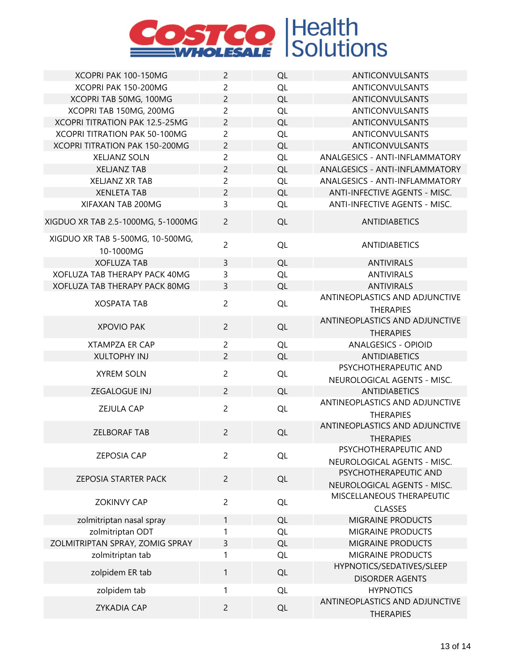

| XCOPRI PAK 100-150MG                          | $\overline{c}$ | QL        | <b>ANTICONVULSANTS</b>         |
|-----------------------------------------------|----------------|-----------|--------------------------------|
| XCOPRI PAK 150-200MG                          | $\overline{2}$ | <b>QL</b> | <b>ANTICONVULSANTS</b>         |
| XCOPRI TAB 50MG, 100MG                        | $\overline{c}$ | QL        | <b>ANTICONVULSANTS</b>         |
| XCOPRI TAB 150MG, 200MG                       | $\overline{c}$ | QL        | <b>ANTICONVULSANTS</b>         |
| <b>XCOPRI TITRATION PAK 12.5-25MG</b>         | $\overline{2}$ | QL        | <b>ANTICONVULSANTS</b>         |
| XCOPRI TITRATION PAK 50-100MG                 | $\overline{c}$ | QL        | ANTICONVULSANTS                |
| XCOPRI TITRATION PAK 150-200MG                | $\overline{c}$ | <b>QL</b> | <b>ANTICONVULSANTS</b>         |
| <b>XELJANZ SOLN</b>                           | $\overline{2}$ | <b>QL</b> | ANALGESICS - ANTI-INFLAMMATORY |
| <b>XELJANZ TAB</b>                            | $\overline{c}$ | QL        | ANALGESICS - ANTI-INFLAMMATORY |
| <b>XELJANZ XR TAB</b>                         | $\overline{2}$ | QL        | ANALGESICS - ANTI-INFLAMMATORY |
| <b>XENLETA TAB</b>                            | $\overline{c}$ | QL        | ANTI-INFECTIVE AGENTS - MISC.  |
| XIFAXAN TAB 200MG                             | 3              | QL        | ANTI-INFECTIVE AGENTS - MISC.  |
|                                               |                |           |                                |
| XIGDUO XR TAB 2.5-1000MG, 5-1000MG            | $\overline{2}$ | QL        | <b>ANTIDIABETICS</b>           |
| XIGDUO XR TAB 5-500MG, 10-500MG,<br>10-1000MG | $\overline{2}$ | <b>QL</b> | <b>ANTIDIABETICS</b>           |
| <b>XOFLUZA TAB</b>                            | 3              | QL        | <b>ANTIVIRALS</b>              |
| <b>XOFLUZA TAB THERAPY PACK 40MG</b>          | 3              | <b>QL</b> | <b>ANTIVIRALS</b>              |
| XOFLUZA TAB THERAPY PACK 80MG                 | 3              | QL        | <b>ANTIVIRALS</b>              |
| <b>XOSPATA TAB</b>                            | $\overline{2}$ | QL        | ANTINEOPLASTICS AND ADJUNCTIVE |
|                                               |                |           | <b>THERAPIES</b>               |
|                                               |                |           | ANTINEOPLASTICS AND ADJUNCTIVE |
| <b>XPOVIO PAK</b>                             | $\overline{2}$ | QL        | <b>THERAPIES</b>               |
| <b>XTAMPZA ER CAP</b>                         | $\overline{c}$ | <b>QL</b> | <b>ANALGESICS - OPIOID</b>     |
| <b>XULTOPHY INJ</b>                           | $\overline{2}$ | <b>QL</b> | <b>ANTIDIABETICS</b>           |
|                                               |                |           | PSYCHOTHERAPEUTIC AND          |
| <b>XYREM SOLN</b>                             | $\overline{2}$ | QL        | NEUROLOGICAL AGENTS - MISC.    |
| ZEGALOGUE INJ                                 | $\overline{2}$ | QL        | <b>ANTIDIABETICS</b>           |
|                                               |                |           | ANTINEOPLASTICS AND ADJUNCTIVE |
| <b>ZEJULA CAP</b>                             | $\overline{2}$ | QL        | <b>THERAPIES</b>               |
|                                               |                |           | ANTINEOPLASTICS AND ADJUNCTIVE |
| <b>ZELBORAF TAB</b>                           | $\overline{2}$ | QL        | <b>THERAPIES</b>               |
|                                               |                |           | PSYCHOTHERAPEUTIC AND          |
| <b>ZEPOSIA CAP</b>                            | $\overline{c}$ | QL        | NEUROLOGICAL AGENTS - MISC.    |
|                                               |                |           | PSYCHOTHERAPEUTIC AND          |
| ZEPOSIA STARTER PACK                          | $\overline{2}$ | <b>QL</b> | NEUROLOGICAL AGENTS - MISC.    |
|                                               |                |           | MISCELLANEOUS THERAPEUTIC      |
| <b>ZOKINVY CAP</b>                            | $\overline{2}$ | QL        | <b>CLASSES</b>                 |
| zolmitriptan nasal spray                      | 1              | QL        | MIGRAINE PRODUCTS              |
| zolmitriptan ODT                              | 1              | QL        | MIGRAINE PRODUCTS              |
| ZOLMITRIPTAN SPRAY, ZOMIG SPRAY               | 3              | <b>QL</b> | MIGRAINE PRODUCTS              |
| zolmitriptan tab                              | 1              | <b>QL</b> | MIGRAINE PRODUCTS              |
|                                               |                |           | HYPNOTICS/SEDATIVES/SLEEP      |
| zolpidem ER tab                               | 1              | QL        | <b>DISORDER AGENTS</b>         |
| zolpidem tab                                  | 1              | QL        | <b>HYPNOTICS</b>               |
|                                               |                |           | ANTINEOPLASTICS AND ADJUNCTIVE |
| <b>ZYKADIA CAP</b>                            | $\overline{2}$ | QL        | <b>THERAPIES</b>               |